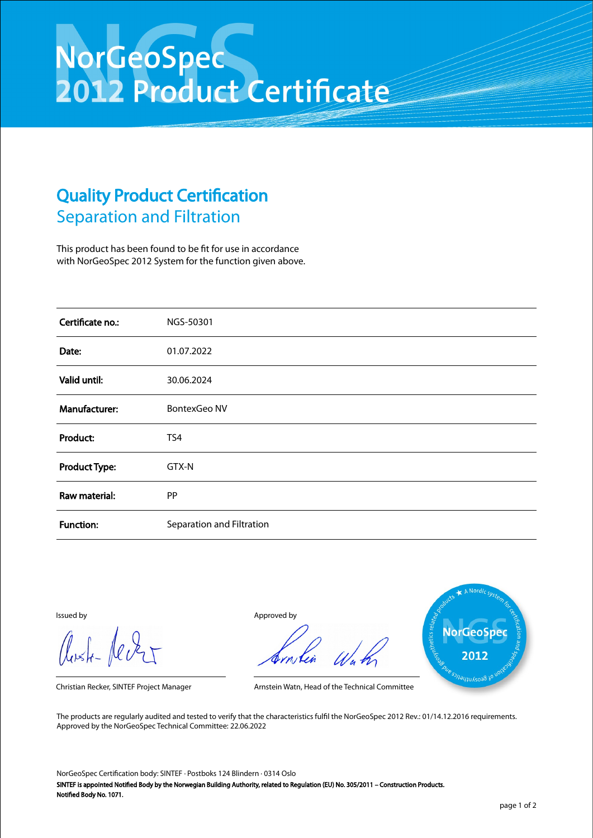## NorGeoSpec<br>2012 Product Certificate

## Quality Product Certification Separation and Filtration

This product has been found to be fit for use in accordance with NorGeoSpec 2012 System for the function given above.

| Certificate no.:     | NGS-50301                 |
|----------------------|---------------------------|
| Date:                | 01.07.2022                |
| Valid until:         | 30.06.2024                |
| Manufacturer:        | <b>BontexGeo NV</b>       |
| Product:             | TS4                       |
| <b>Product Type:</b> | GTX-N                     |
| Raw material:        | PP                        |
| <b>Function:</b>     | Separation and Filtration |

Aust-Jever

Issued by Approved by



Christian Recker, SINTEF Project Manager Arnstein Watn, Head of the Technical Committee

The products are regularly audited and tested to verify that the characteristics fulfil the NorGeoSpec 2012 Rev.: 01/14.12.2016 requirements. Approved by the NorGeoSpec Technical Committee: 22.06.2022